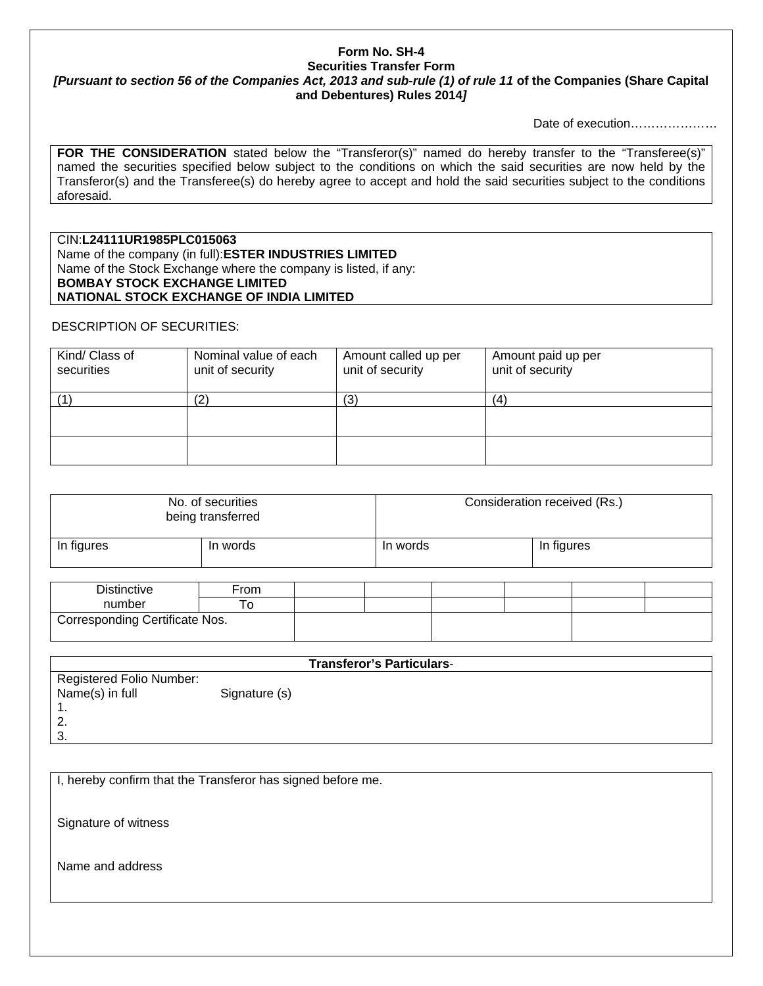## **Form No. SH-4 Securities Transfer Form**  *[Pursuant to section 56 of the Companies Act, 2013 and sub-rule (1) of rule 11* **of the Companies (Share Capital and Debentures) Rules 2014***]*

Date of execution…………………

FOR THE CONSIDERATION stated below the "Transferor(s)" named do hereby transfer to the "Transferee(s)" named the securities specified below subject to the conditions on which the said securities are now held by the Transferor(s) and the Transferee(s) do hereby agree to accept and hold the said securities subject to the conditions aforesaid.

CIN:**L24111UR1985PLC015063** Name of the company (in full):**ESTER INDUSTRIES LIMITED** Name of the Stock Exchange where the company is listed, if any: **BOMBAY STOCK EXCHANGE LIMITED NATIONAL STOCK EXCHANGE OF INDIA LIMITED**

## DESCRIPTION OF SECURITIES:

| Kind/ Class of<br>securities | Nominal value of each<br>unit of security | Amount called up per<br>unit of security | Amount paid up per<br>unit of security |
|------------------------------|-------------------------------------------|------------------------------------------|----------------------------------------|
|                              | 2                                         | (3)                                      | (4)                                    |
|                              |                                           |                                          |                                        |
|                              |                                           |                                          |                                        |

| No. of securities<br>being transferred |          | Consideration received (Rs.) |            |  |
|----------------------------------------|----------|------------------------------|------------|--|
| In figures                             | In words | In words                     | In figures |  |

| <b>Distinctive</b>                          | From |  |  |  |
|---------------------------------------------|------|--|--|--|
| number                                      | ۰o   |  |  |  |
| <sup>1</sup> Corresponding Certificate Nos. |      |  |  |  |

| <b>Transferor's Particulars-</b> |               |  |  |  |
|----------------------------------|---------------|--|--|--|
| Registered Folio Number:         |               |  |  |  |
| Name(s) in full                  | Signature (s) |  |  |  |
|                                  |               |  |  |  |
|                                  |               |  |  |  |
| ີ                                |               |  |  |  |

I, hereby confirm that the Transferor has signed before me.

Signature of witness

Name and address